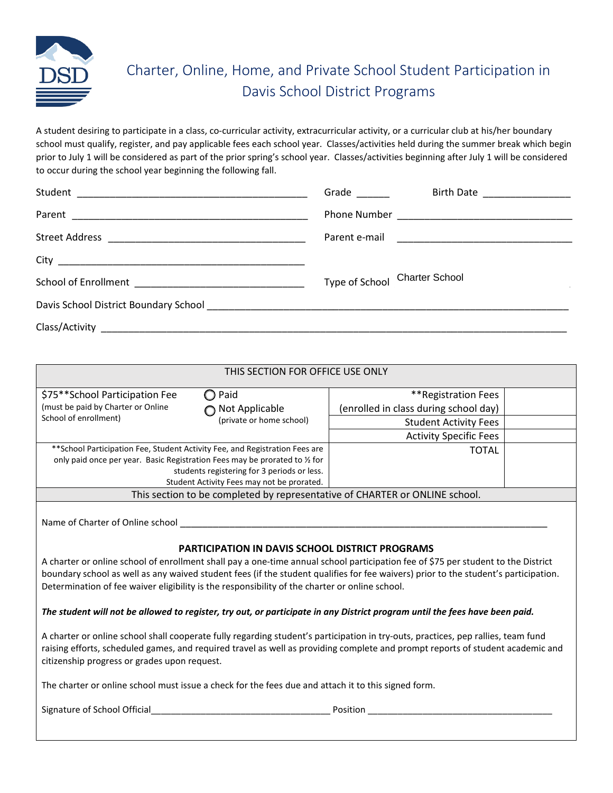

## Charter, Online, Home, and Private School Student Participation in Davis School District Programs

A student desiring to participate in a class, co-curricular activity, extracurricular activity, or a curricular club at his/her boundary school must qualify, register, and pay applicable fees each school year. Classes/activities held during the summer break which begin prior to July 1 will be considered as part of the prior spring's school year. Classes/activities beginning after July 1 will be considered to occur during the school year beginning the following fall.

| Grade <u>and the set of the set of the set of the set of the set of the set of the set of the set of the set of the set of the set of the set of the set of the set of the set of the set of the set of the set of the set of th</u> | Birth Date ___________________ |
|--------------------------------------------------------------------------------------------------------------------------------------------------------------------------------------------------------------------------------------|--------------------------------|
|                                                                                                                                                                                                                                      |                                |
|                                                                                                                                                                                                                                      |                                |
|                                                                                                                                                                                                                                      |                                |
|                                                                                                                                                                                                                                      | Type of School Charter School  |
|                                                                                                                                                                                                                                      |                                |
|                                                                                                                                                                                                                                      |                                |

| THIS SECTION FOR OFFICE USE ONLY                                                                                                                                                                                                                                                                                                                                                                                                                                  |                                             |                                       |  |  |
|-------------------------------------------------------------------------------------------------------------------------------------------------------------------------------------------------------------------------------------------------------------------------------------------------------------------------------------------------------------------------------------------------------------------------------------------------------------------|---------------------------------------------|---------------------------------------|--|--|
| \$75**School Participation Fee                                                                                                                                                                                                                                                                                                                                                                                                                                    | Paid                                        | **Registration Fees                   |  |  |
| (must be paid by Charter or Online                                                                                                                                                                                                                                                                                                                                                                                                                                | Not Applicable                              | (enrolled in class during school day) |  |  |
| School of enrollment)                                                                                                                                                                                                                                                                                                                                                                                                                                             | (private or home school)                    | <b>Student Activity Fees</b>          |  |  |
|                                                                                                                                                                                                                                                                                                                                                                                                                                                                   |                                             | <b>Activity Specific Fees</b>         |  |  |
| ** School Participation Fee, Student Activity Fee, and Registration Fees are                                                                                                                                                                                                                                                                                                                                                                                      |                                             | <b>TOTAL</b>                          |  |  |
| only paid once per year. Basic Registration Fees may be prorated to 1/2 for                                                                                                                                                                                                                                                                                                                                                                                       |                                             |                                       |  |  |
|                                                                                                                                                                                                                                                                                                                                                                                                                                                                   | students registering for 3 periods or less. |                                       |  |  |
|                                                                                                                                                                                                                                                                                                                                                                                                                                                                   | Student Activity Fees may not be prorated.  |                                       |  |  |
| This section to be completed by representative of CHARTER or ONLINE school.                                                                                                                                                                                                                                                                                                                                                                                       |                                             |                                       |  |  |
| Name of Charter of Online school<br>PARTICIPATION IN DAVIS SCHOOL DISTRICT PROGRAMS<br>A charter or online school of enrollment shall pay a one-time annual school participation fee of \$75 per student to the District<br>boundary school as well as any waived student fees (if the student qualifies for fee waivers) prior to the student's participation.<br>Determination of fee waiver eligibility is the responsibility of the charter or online school. |                                             |                                       |  |  |
| The student will not be allowed to register, try out, or participate in any District program until the fees have been paid.                                                                                                                                                                                                                                                                                                                                       |                                             |                                       |  |  |
| A charter or online school shall cooperate fully regarding student's participation in try-outs, practices, pep rallies, team fund<br>raising efforts, scheduled games, and required travel as well as providing complete and prompt reports of student academic and<br>citizenship progress or grades upon request.                                                                                                                                               |                                             |                                       |  |  |
| The charter or online school must issue a check for the fees due and attach it to this signed form.                                                                                                                                                                                                                                                                                                                                                               |                                             |                                       |  |  |
| Signature of School Official<br>Position                                                                                                                                                                                                                                                                                                                                                                                                                          |                                             |                                       |  |  |